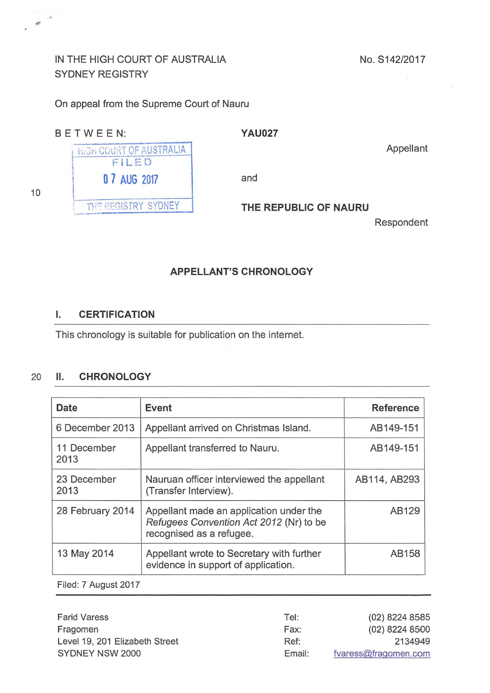# IN THE HIGH COURT OF AUSTRALIA SYDNEY REGISTRY

**High COURT OF AUSTRALIA** FILED

THE REGISTRY SYDNEY

No. S142/2017

On appeal from the Supreme Court of Nauru

### BETWEEN: **YAU027**

: 1200 Fall

 $\overline{\phantom{a}}$ 

Appellant

\ **0 7 AUG** 2017 and

### **THE REPUBLIC OF NAURU**

Respondent

### **APPELLANT'S CHRONOLOGY**

#### I. **CERTIFICATION**

This chronology is suitable for publication on the internet.

## 20 **11. CHRONOLOGY**

| Date                | <b>Event</b>                                                                                                   | <b>Reference</b> |
|---------------------|----------------------------------------------------------------------------------------------------------------|------------------|
| 6 December 2013     | Appellant arrived on Christmas Island.                                                                         | AB149-151        |
| 11 December<br>2013 | Appellant transferred to Nauru.                                                                                | AB149-151        |
| 23 December<br>2013 | Nauruan officer interviewed the appellant<br>(Transfer Interview).                                             | AB114, AB293     |
| 28 February 2014    | Appellant made an application under the<br>Refugees Convention Act 2012 (Nr) to be<br>recognised as a refugee. | AB129            |
| 13 May 2014         | Appellant wrote to Secretary with further<br>evidence in support of application.                               | AB158            |

Filed: 7 August 2017

| <b>Farid Varess</b>            | Tel:   | (02) 8224 8585       |
|--------------------------------|--------|----------------------|
| Fragomen                       | Fax:   | (02) 8224 8500       |
| Level 19, 201 Elizabeth Street | Ref:   | 2134949              |
| SYDNEY NSW 2000                | Email: | fvaress@fragomen.com |

10

 $\dot{\varepsilon}$